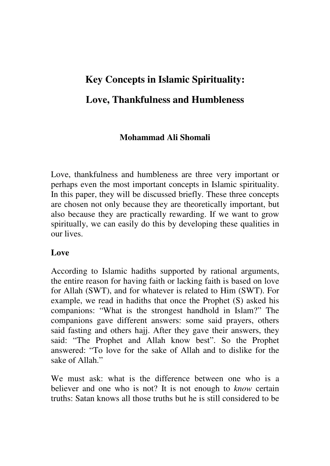# **Key Concepts in Islamic Spirituality: Love, Thankfulness and Humbleness**

## **Mohammad Ali Shomali**

Love, thankfulness and humbleness are three very important or perhaps even the most important concepts in Islamic spirituality. In this paper, they will be discussed briefly. These three concepts are chosen not only because they are theoretically important, but also because they are practically rewarding. If we want to grow spiritually, we can easily do this by developing these qualities in our lives.

## **Love**

According to Islamic hadiths supported by rational arguments, the entire reason for having faith or lacking faith is based on love for Allah (SWT), and for whatever is related to Him (SWT). For example, we read in hadiths that once the Prophet (S) asked his companions: "What is the strongest handhold in Islam?" The companions gave different answers: some said prayers, others said fasting and others hajj. After they gave their answers, they said: "The Prophet and Allah know best". So the Prophet answered: "To love for the sake of Allah and to dislike for the sake of Allah."

We must ask: what is the difference between one who is a believer and one who is not? It is not enough to *know* certain truths: Satan knows all those truths but he is still considered to be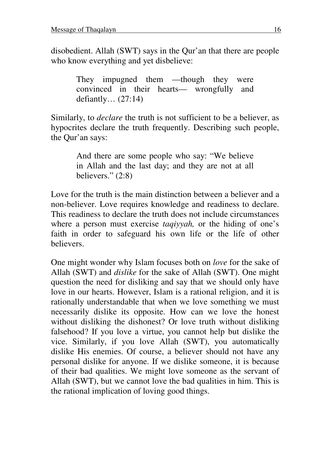disobedient. Allah (SWT) says in the Qur'an that there are people who know everything and yet disbelieve:

> They impugned them —though they were convinced in their hearts— wrongfully and defiantly… (27:14)

Similarly, to *declare* the truth is not sufficient to be a believer, as hypocrites declare the truth frequently. Describing such people, the Qur'an says:

> And there are some people who say: "We believe in Allah and the last day; and they are not at all believers." (2:8)

Love for the truth is the main distinction between a believer and a non-believer. Love requires knowledge and readiness to declare. This readiness to declare the truth does not include circumstances where a person must exercise *taqiyyah,* or the hiding of one's faith in order to safeguard his own life or the life of other believers.

One might wonder why Islam focuses both on *love* for the sake of Allah (SWT) and *dislike* for the sake of Allah (SWT). One might question the need for disliking and say that we should only have love in our hearts. However, Islam is a rational religion, and it is rationally understandable that when we love something we must necessarily dislike its opposite. How can we love the honest without disliking the dishonest? Or love truth without disliking falsehood? If you love a virtue, you cannot help but dislike the vice. Similarly, if you love Allah (SWT), you automatically dislike His enemies. Of course, a believer should not have any personal dislike for anyone. If we dislike someone, it is because of their bad qualities. We might love someone as the servant of Allah (SWT), but we cannot love the bad qualities in him. This is the rational implication of loving good things.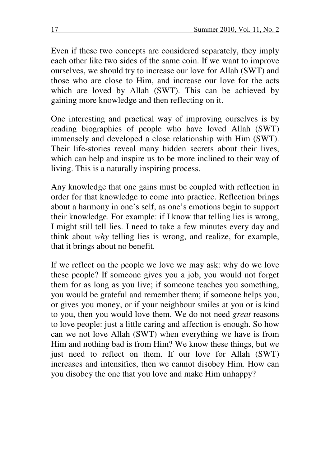Even if these two concepts are considered separately, they imply each other like two sides of the same coin. If we want to improve ourselves, we should try to increase our love for Allah (SWT) and those who are close to Him, and increase our love for the acts which are loved by Allah (SWT). This can be achieved by gaining more knowledge and then reflecting on it.

One interesting and practical way of improving ourselves is by reading biographies of people who have loved Allah (SWT) immensely and developed a close relationship with Him (SWT). Their life-stories reveal many hidden secrets about their lives, which can help and inspire us to be more inclined to their way of living. This is a naturally inspiring process.

Any knowledge that one gains must be coupled with reflection in order for that knowledge to come into practice. Reflection brings about a harmony in one's self, as one's emotions begin to support their knowledge. For example: if I know that telling lies is wrong, I might still tell lies. I need to take a few minutes every day and think about *why* telling lies is wrong, and realize, for example, that it brings about no benefit.

If we reflect on the people we love we may ask: why do we love these people? If someone gives you a job, you would not forget them for as long as you live; if someone teaches you something, you would be grateful and remember them; if someone helps you, or gives you money, or if your neighbour smiles at you or is kind to you, then you would love them. We do not need *great* reasons to love people: just a little caring and affection is enough. So how can we not love Allah (SWT) when everything we have is from Him and nothing bad is from Him? We know these things, but we just need to reflect on them. If our love for Allah (SWT) increases and intensifies, then we cannot disobey Him. How can you disobey the one that you love and make Him unhappy?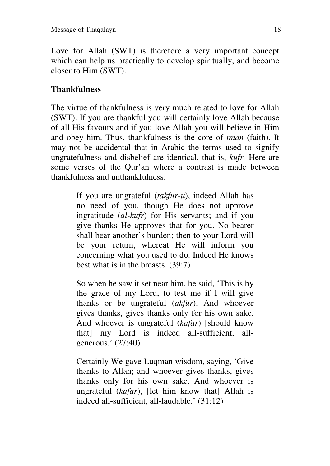Love for Allah (SWT) is therefore a very important concept which can help us practically to develop spiritually, and become closer to Him (SWT).

# **Thankfulness**

The virtue of thankfulness is very much related to love for Allah (SWT). If you are thankful you will certainly love Allah because of all His favours and if you love Allah you will believe in Him and obey him. Thus, thankfulness is the core of *im*ā*n* (faith). It may not be accidental that in Arabic the terms used to signify ungratefulness and disbelief are identical, that is, *kufr.* Here are some verses of the Qur'an where a contrast is made between thankfulness and unthankfulness:

> If you are ungrateful (*takfur-u*), indeed Allah has no need of you, though He does not approve ingratitude (*al-kufr*) for His servants; and if you give thanks He approves that for you. No bearer shall bear another's burden; then to your Lord will be your return, whereat He will inform you concerning what you used to do. Indeed He knows best what is in the breasts. (39:7)

> So when he saw it set near him, he said, 'This is by the grace of my Lord, to test me if I will give thanks or be ungrateful (*akfur*). And whoever gives thanks, gives thanks only for his own sake. And whoever is ungrateful (*kafar*) [should know that] my Lord is indeed all-sufficient, allgenerous.' (27:40)

> Certainly We gave Luqman wisdom, saying, 'Give thanks to Allah; and whoever gives thanks, gives thanks only for his own sake. And whoever is ungrateful (*kafar*), [let him know that] Allah is indeed all-sufficient, all-laudable.' (31:12)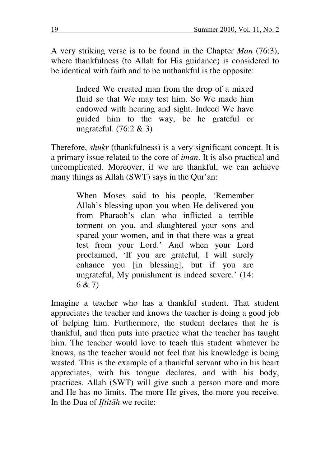A very striking verse is to be found in the Chapter *Man* (76:3), where thankfulness (to Allah for His guidance) is considered to be identical with faith and to be unthankful is the opposite:

> Indeed We created man from the drop of a mixed fluid so that We may test him. So We made him endowed with hearing and sight. Indeed We have guided him to the way, be he grateful or ungrateful. (76:2 & 3)

Therefore, *shukr* (thankfulness) is a very significant concept. It is a primary issue related to the core of *im*ā*n*. It is also practical and uncomplicated. Moreover, if we are thankful, we can achieve many things as Allah (SWT) says in the Qur'an:

> When Moses said to his people, 'Remember Allah's blessing upon you when He delivered you from Pharaoh's clan who inflicted a terrible torment on you, and slaughtered your sons and spared your women, and in that there was a great test from your Lord.' And when your Lord proclaimed, 'If you are grateful, I will surely enhance you [in blessing], but if you are ungrateful, My punishment is indeed severe.' (14: 6 & 7)

Imagine a teacher who has a thankful student. That student appreciates the teacher and knows the teacher is doing a good job of helping him. Furthermore, the student declares that he is thankful, and then puts into practice what the teacher has taught him. The teacher would love to teach this student whatever he knows, as the teacher would not feel that his knowledge is being wasted. This is the example of a thankful servant who in his heart appreciates, with his tongue declares, and with his body, practices. Allah (SWT) will give such a person more and more and He has no limits. The more He gives, the more you receive. In the Dua of *Iftit*ā*h* we recite: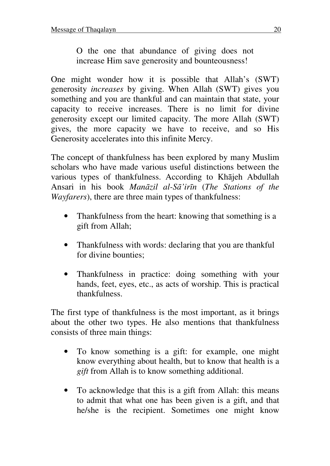O the one that abundance of giving does not increase Him save generosity and bounteousness!

One might wonder how it is possible that Allah's (SWT) generosity *increases* by giving. When Allah (SWT) gives you something and you are thankful and can maintain that state, your capacity to receive increases. There is no limit for divine generosity except our limited capacity. The more Allah (SWT) gives, the more capacity we have to receive, and so His Generosity accelerates into this infinite Mercy.

The concept of thankfulness has been explored by many Muslim scholars who have made various useful distinctions between the various types of thankfulness. According to Khājeh Abdullah Ansari in his book *Man*ā*zil al-S*ā*'ir*ī*n* (*The Stations of the Wayfarers*), there are three main types of thankfulness:

- Thankfulness from the heart: knowing that something is a gift from Allah;
- Thankfulness with words: declaring that you are thankful for divine bounties;
- Thankfulness in practice: doing something with your hands, feet, eyes, etc., as acts of worship. This is practical thankfulness.

The first type of thankfulness is the most important, as it brings about the other two types. He also mentions that thankfulness consists of three main things:

- To know something is a gift: for example, one might know everything about health, but to know that health is a *gift* from Allah is to know something additional.
- To acknowledge that this is a gift from Allah: this means to admit that what one has been given is a gift, and that he/she is the recipient. Sometimes one might know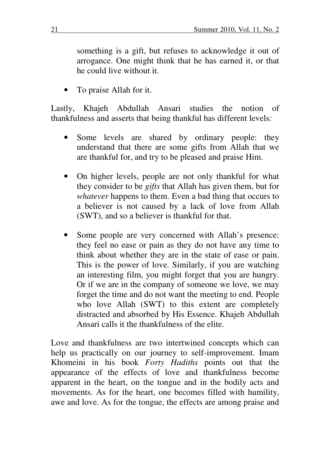something is a gift, but refuses to acknowledge it out of arrogance. One might think that he has earned it, or that he could live without it.

• To praise Allah for it.

Lastly, Khajeh Abdullah Ansari studies the notion of thankfulness and asserts that being thankful has different levels:

- Some levels are shared by ordinary people: they understand that there are some gifts from Allah that we are thankful for, and try to be pleased and praise Him.
- On higher levels, people are not only thankful for what they consider to be *gifts* that Allah has given them, but for *whatever* happens to them. Even a bad thing that occurs to a believer is not caused by a lack of love from Allah (SWT), and so a believer is thankful for that.
- Some people are very concerned with Allah's presence: they feel no ease or pain as they do not have any time to think about whether they are in the state of ease or pain. This is the power of love. Similarly, if you are watching an interesting film, you might forget that you are hungry. Or if we are in the company of someone we love, we may forget the time and do not want the meeting to end. People who love Allah (SWT) to this extent are completely distracted and absorbed by His Essence. Khajeh Abdullah Ansari calls it the thankfulness of the elite.

Love and thankfulness are two intertwined concepts which can help us practically on our journey to self-improvement. Imam Khomeini in his book *Forty Hadiths* points out that the appearance of the effects of love and thankfulness become apparent in the heart, on the tongue and in the bodily acts and movements. As for the heart, one becomes filled with humility, awe and love. As for the tongue, the effects are among praise and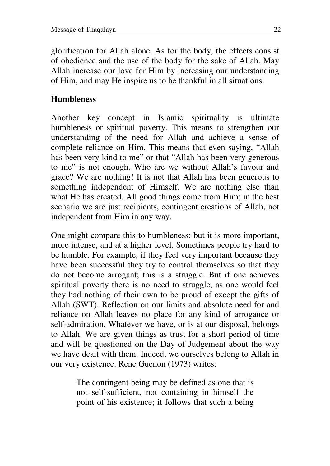glorification for Allah alone. As for the body, the effects consist of obedience and the use of the body for the sake of Allah. May Allah increase our love for Him by increasing our understanding of Him, and may He inspire us to be thankful in all situations.

# **Humbleness**

Another key concept in Islamic spirituality is ultimate humbleness or spiritual poverty. This means to strengthen our understanding of the need for Allah and achieve a sense of complete reliance on Him. This means that even saying, "Allah has been very kind to me" or that "Allah has been very generous to me" is not enough. Who are we without Allah's favour and grace? We are nothing! It is not that Allah has been generous to something independent of Himself. We are nothing else than what He has created. All good things come from Him; in the best scenario we are just recipients, contingent creations of Allah, not independent from Him in any way.

One might compare this to humbleness: but it is more important, more intense, and at a higher level. Sometimes people try hard to be humble. For example, if they feel very important because they have been successful they try to control themselves so that they do not become arrogant; this is a struggle. But if one achieves spiritual poverty there is no need to struggle, as one would feel they had nothing of their own to be proud of except the gifts of Allah (SWT). Reflection on our limits and absolute need for and reliance on Allah leaves no place for any kind of arrogance or self-admiration**.** Whatever we have, or is at our disposal, belongs to Allah. We are given things as trust for a short period of time and will be questioned on the Day of Judgement about the way we have dealt with them. Indeed, we ourselves belong to Allah in our very existence. Rene Guenon (1973) writes:

> The contingent being may be defined as one that is not self-sufficient, not containing in himself the point of his existence; it follows that such a being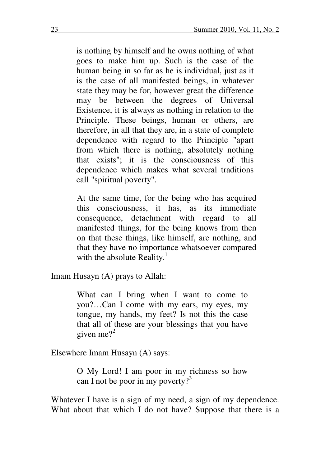is nothing by himself and he owns nothing of what goes to make him up. Such is the case of the human being in so far as he is individual, just as it is the case of all manifested beings, in whatever state they may be for, however great the difference may be between the degrees of Universal Existence, it is always as nothing in relation to the Principle. These beings, human or others, are therefore, in all that they are, in a state of complete dependence with regard to the Principle "apart from which there is nothing, absolutely nothing that exists"; it is the consciousness of this dependence which makes what several traditions call "spiritual poverty".

At the same time, for the being who has acquired this consciousness, it has, as its immediate consequence, detachment with regard to all manifested things, for the being knows from then on that these things, like himself, are nothing, and that they have no importance whatsoever compared with the absolute Reality.<sup>1</sup>

Imam Husayn (A) prays to Allah:

What can I bring when I want to come to you?…Can I come with my ears, my eyes, my tongue, my hands, my feet? Is not this the case that all of these are your blessings that you have given me?<sup>2</sup>

Elsewhere Imam Husayn (A) says:

O My Lord! I am poor in my richness so how can I not be poor in my poverty?<sup>3</sup>

Whatever I have is a sign of my need, a sign of my dependence. What about that which I do not have? Suppose that there is a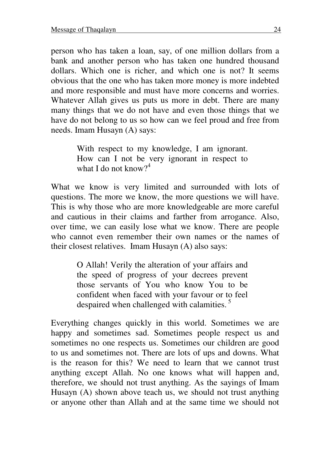person who has taken a loan, say, of one million dollars from a bank and another person who has taken one hundred thousand dollars. Which one is richer, and which one is not? It seems obvious that the one who has taken more money is more indebted and more responsible and must have more concerns and worries. Whatever Allah gives us puts us more in debt. There are many many things that we do not have and even those things that we have do not belong to us so how can we feel proud and free from needs. Imam Husayn (A) says:

> With respect to my knowledge, I am ignorant. How can I not be very ignorant in respect to what I do not know? $4$

What we know is very limited and surrounded with lots of questions. The more we know, the more questions we will have. This is why those who are more knowledgeable are more careful and cautious in their claims and farther from arrogance. Also, over time, we can easily lose what we know. There are people who cannot even remember their own names or the names of their closest relatives. Imam Husayn (A) also says:

> O Allah! Verily the alteration of your affairs and the speed of progress of your decrees prevent those servants of You who know You to be confident when faced with your favour or to feel despaired when challenged with calamities.<sup>5</sup>

Everything changes quickly in this world. Sometimes we are happy and sometimes sad. Sometimes people respect us and sometimes no one respects us. Sometimes our children are good to us and sometimes not. There are lots of ups and downs. What is the reason for this? We need to learn that we cannot trust anything except Allah. No one knows what will happen and, therefore, we should not trust anything. As the sayings of Imam Husayn (A) shown above teach us, we should not trust anything or anyone other than Allah and at the same time we should not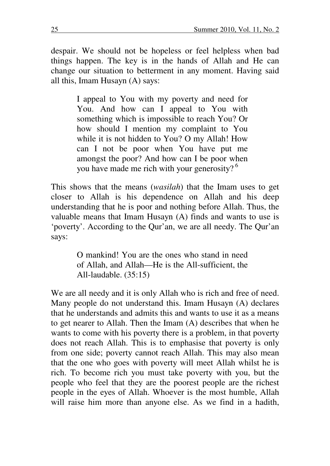despair. We should not be hopeless or feel helpless when bad things happen. The key is in the hands of Allah and He can change our situation to betterment in any moment. Having said all this, Imam Husayn (A) says:

> I appeal to You with my poverty and need for You. And how can I appeal to You with something which is impossible to reach You? Or how should I mention my complaint to You while it is not hidden to You? O my Allah! How can I not be poor when You have put me amongst the poor? And how can I be poor when you have made me rich with your generosity?<sup>6</sup>

This shows that the means (*wasilah*) that the Imam uses to get closer to Allah is his dependence on Allah and his deep understanding that he is poor and nothing before Allah. Thus, the valuable means that Imam Husayn (A) finds and wants to use is 'poverty'. According to the Qur'an, we are all needy. The Qur'an says:

> O mankind! You are the ones who stand in need of Allah, and Allah—He is the All-sufficient, the All-laudable. (35:15)

We are all needy and it is only Allah who is rich and free of need. Many people do not understand this. Imam Husayn (A) declares that he understands and admits this and wants to use it as a means to get nearer to Allah. Then the Imam (A) describes that when he wants to come with his poverty there is a problem, in that poverty does not reach Allah. This is to emphasise that poverty is only from one side; poverty cannot reach Allah. This may also mean that the one who goes with poverty will meet Allah whilst he is rich. To become rich you must take poverty with you, but the people who feel that they are the poorest people are the richest people in the eyes of Allah. Whoever is the most humble, Allah will raise him more than anyone else. As we find in a hadith,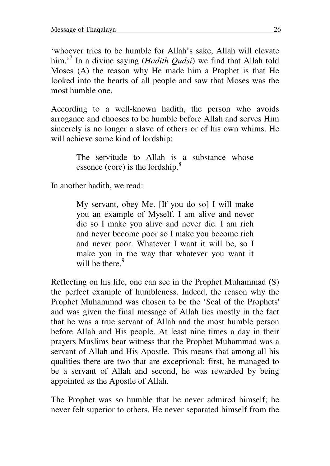'whoever tries to be humble for Allah's sake, Allah will elevate him.'<sup>7</sup> In a divine saying (*Hadith Qudsi*) we find that Allah told Moses (A) the reason why He made him a Prophet is that He looked into the hearts of all people and saw that Moses was the most humble one.

According to a well-known hadith, the person who avoids arrogance and chooses to be humble before Allah and serves Him sincerely is no longer a slave of others or of his own whims. He will achieve some kind of lordship:

> The servitude to Allah is a substance whose essence (core) is the lordship. $8$

In another hadith, we read:

My servant, obey Me. [If you do so] I will make you an example of Myself. I am alive and never die so I make you alive and never die. I am rich and never become poor so I make you become rich and never poor. Whatever I want it will be, so I make you in the way that whatever you want it will be there.<sup>9</sup>

Reflecting on his life, one can see in the Prophet Muhammad (S) the perfect example of humbleness. Indeed, the reason why the Prophet Muhammad was chosen to be the 'Seal of the Prophets' and was given the final message of Allah lies mostly in the fact that he was a true servant of Allah and the most humble person before Allah and His people. At least nine times a day in their prayers Muslims bear witness that the Prophet Muhammad was a servant of Allah and His Apostle. This means that among all his qualities there are two that are exceptional: first, he managed to be a servant of Allah and second, he was rewarded by being appointed as the Apostle of Allah.

The Prophet was so humble that he never admired himself; he never felt superior to others. He never separated himself from the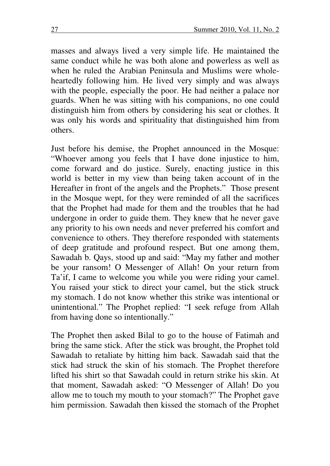masses and always lived a very simple life. He maintained the same conduct while he was both alone and powerless as well as when he ruled the Arabian Peninsula and Muslims were wholeheartedly following him. He lived very simply and was always with the people, especially the poor. He had neither a palace nor guards. When he was sitting with his companions, no one could distinguish him from others by considering his seat or clothes. It was only his words and spirituality that distinguished him from others.

Just before his demise, the Prophet announced in the Mosque: "Whoever among you feels that I have done injustice to him, come forward and do justice. Surely, enacting justice in this world is better in my view than being taken account of in the Hereafter in front of the angels and the Prophets." Those present in the Mosque wept, for they were reminded of all the sacrifices that the Prophet had made for them and the troubles that he had undergone in order to guide them. They knew that he never gave any priority to his own needs and never preferred his comfort and convenience to others. They therefore responded with statements of deep gratitude and profound respect. But one among them, Sawadah b. Qays, stood up and said: "May my father and mother be your ransom! O Messenger of Allah! On your return from Ta'if, I came to welcome you while you were riding your camel. You raised your stick to direct your camel, but the stick struck my stomach. I do not know whether this strike was intentional or unintentional." The Prophet replied: "I seek refuge from Allah from having done so intentionally."

The Prophet then asked Bilal to go to the house of Fatimah and bring the same stick. After the stick was brought, the Prophet told Sawadah to retaliate by hitting him back. Sawadah said that the stick had struck the skin of his stomach. The Prophet therefore lifted his shirt so that Sawadah could in return strike his skin. At that moment, Sawadah asked: "O Messenger of Allah! Do you allow me to touch my mouth to your stomach?" The Prophet gave him permission. Sawadah then kissed the stomach of the Prophet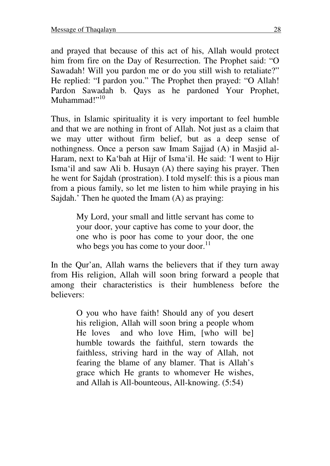and prayed that because of this act of his, Allah would protect him from fire on the Day of Resurrection. The Prophet said: "O Sawadah! Will you pardon me or do you still wish to retaliate?" He replied: "I pardon you." The Prophet then prayed: "O Allah! Pardon Sawadah b. Qays as he pardoned Your Prophet, Muhammad!"<sup>10</sup>

Thus, in Islamic spirituality it is very important to feel humble and that we are nothing in front of Allah. Not just as a claim that we may utter without firm belief, but as a deep sense of nothingness. Once a person saw Imam Sajjad (A) in Masjid al-Haram, next to Ka'bah at Hijr of Isma'il. He said: 'I went to Hijr Isma'il and saw Ali b. Husayn (A) there saying his prayer. Then he went for Sajdah (prostration). I told myself: this is a pious man from a pious family, so let me listen to him while praying in his Sajdah.' Then he quoted the Imam (A) as praying:

> My Lord, your small and little servant has come to your door, your captive has come to your door, the one who is poor has come to your door, the one who begs you has come to your door. $^{11}$

In the Qur'an, Allah warns the believers that if they turn away from His religion, Allah will soon bring forward a people that among their characteristics is their humbleness before the believers:

> O you who have faith! Should any of you desert his religion, Allah will soon bring a people whom He loves and who love Him, [who will be] humble towards the faithful, stern towards the faithless, striving hard in the way of Allah, not fearing the blame of any blamer. That is Allah's grace which He grants to whomever He wishes, and Allah is All-bounteous, All-knowing. (5:54)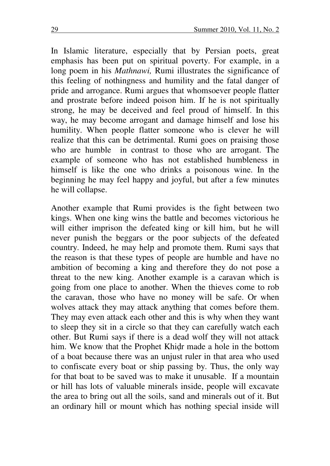In Islamic literature, especially that by Persian poets, great emphasis has been put on spiritual poverty. For example, in a long poem in his *Mathnawi,* Rumi illustrates the significance of this feeling of nothingness and humility and the fatal danger of pride and arrogance. Rumi argues that whomsoever people flatter and prostrate before indeed poison him. If he is not spiritually strong, he may be deceived and feel proud of himself. In this way, he may become arrogant and damage himself and lose his humility. When people flatter someone who is clever he will realize that this can be detrimental. Rumi goes on praising those who are humble in contrast to those who are arrogant. The example of someone who has not established humbleness in himself is like the one who drinks a poisonous wine. In the beginning he may feel happy and joyful, but after a few minutes he will collapse.

Another example that Rumi provides is the fight between two kings. When one king wins the battle and becomes victorious he will either imprison the defeated king or kill him, but he will never punish the beggars or the poor subjects of the defeated country. Indeed, he may help and promote them. Rumi says that the reason is that these types of people are humble and have no ambition of becoming a king and therefore they do not pose a threat to the new king. Another example is a caravan which is going from one place to another. When the thieves come to rob the caravan, those who have no money will be safe. Or when wolves attack they may attack anything that comes before them. They may even attack each other and this is why when they want to sleep they sit in a circle so that they can carefully watch each other. But Rumi says if there is a dead wolf they will not attack him. We know that the Prophet Khiḍr made a hole in the bottom of a boat because there was an unjust ruler in that area who used to confiscate every boat or ship passing by. Thus, the only way for that boat to be saved was to make it unusable. If a mountain or hill has lots of valuable minerals inside, people will excavate the area to bring out all the soils, sand and minerals out of it. But an ordinary hill or mount which has nothing special inside will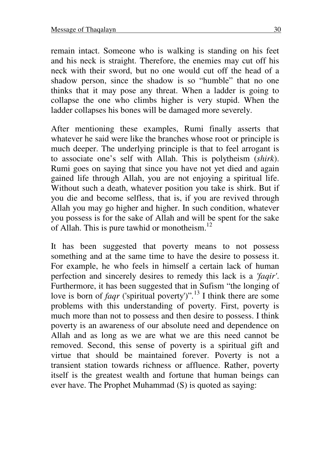remain intact. Someone who is walking is standing on his feet and his neck is straight. Therefore, the enemies may cut off his neck with their sword, but no one would cut off the head of a shadow person, since the shadow is so "humble" that no one thinks that it may pose any threat. When a ladder is going to collapse the one who climbs higher is very stupid. When the ladder collapses his bones will be damaged more severely.

After mentioning these examples, Rumi finally asserts that whatever he said were like the branches whose root or principle is much deeper. The underlying principle is that to feel arrogant is to associate one's self with Allah. This is polytheism (*shirk*). Rumi goes on saying that since you have not yet died and again gained life through Allah, you are not enjoying a spiritual life. Without such a death, whatever position you take is shirk. But if you die and become selfless, that is, if you are revived through Allah you may go higher and higher. In such condition, whatever you possess is for the sake of Allah and will be spent for the sake of Allah. This is pure tawhid or monotheism. $^{12}$ 

It has been suggested that poverty means to not possess something and at the same time to have the desire to possess it. For example, he who feels in himself a certain lack of human perfection and sincerely desires to remedy this lack is a *'faqir'*. Furthermore, it has been suggested that in Sufism "the longing of love is born of *faqr* ('spiritual poverty')"*.* <sup>13</sup> I think there are some problems with this understanding of poverty. First, poverty is much more than not to possess and then desire to possess. I think poverty is an awareness of our absolute need and dependence on Allah and as long as we are what we are this need cannot be removed. Second, this sense of poverty is a spiritual gift and virtue that should be maintained forever. Poverty is not a transient station towards richness or affluence. Rather, poverty itself is the greatest wealth and fortune that human beings can ever have. The Prophet Muhammad (S) is quoted as saying: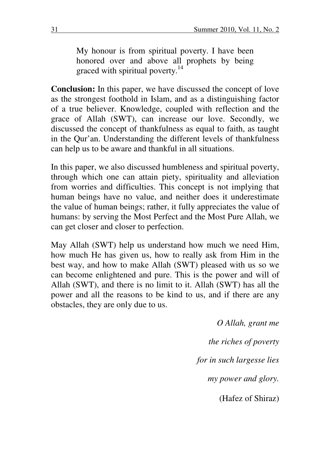My honour is from spiritual poverty. I have been honored over and above all prophets by being graced with spiritual poverty.<sup>14</sup>

**Conclusion:** In this paper, we have discussed the concept of love as the strongest foothold in Islam, and as a distinguishing factor of a true believer. Knowledge, coupled with reflection and the grace of Allah (SWT), can increase our love. Secondly, we discussed the concept of thankfulness as equal to faith, as taught in the Qur'an. Understanding the different levels of thankfulness can help us to be aware and thankful in all situations.

In this paper, we also discussed humbleness and spiritual poverty, through which one can attain piety, spirituality and alleviation from worries and difficulties. This concept is not implying that human beings have no value, and neither does it underestimate the value of human beings; rather, it fully appreciates the value of humans: by serving the Most Perfect and the Most Pure Allah, we can get closer and closer to perfection.

May Allah (SWT) help us understand how much we need Him, how much He has given us, how to really ask from Him in the best way, and how to make Allah (SWT) pleased with us so we can become enlightened and pure. This is the power and will of Allah (SWT), and there is no limit to it. Allah (SWT) has all the power and all the reasons to be kind to us, and if there are any obstacles, they are only due to us.

*O Allah, grant me* 

*the riches of poverty*

*for in such largesse lies* 

*my power and glory.* 

(Hafez of Shiraz)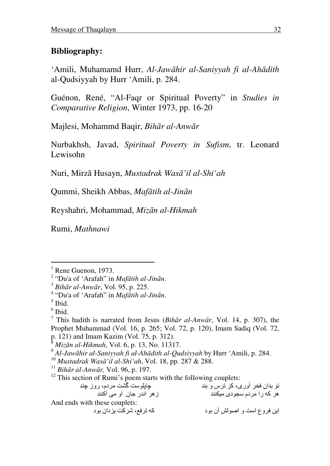#### **Bibliography:**

'Amili, Muhamamd Hurr, *Al-Jaw*ā*hir al-Saniyyah fi al-Ah*ā*dith*  al-Qudsiyyah by Hurr 'Amili, p. 284.

Guénon, René, "Al-Faqr or Spiritual Poverty" in *Studies in Comparative Religion*, Winter 1973, pp. 16-20

Majlesi, Mohammd Baqir, *Bih*ā*r al-Anw*ā*r*

Nurbakhsh, Javad, *Spiritual Poverty in Sufism*, tr. Leonard Lewisohn

Nuri, Mirzā Husayn, *Mustadrak Was*ā*'il al-Shi'ah* 

Qummi, Sheikh Abbas, *Maf*ā*tih al-Jin*ā*n*

Reyshahri, Mohammad, *Miz*ā*n al-Hikmah*

Rumi, *Mathnawi* 

 $\overline{a}$ 

 $12$  This section of Rumi's poem starts with the following couplets:

| چاپلوست گشت مردم، روز چند     | تو بدان فخر أوري، كز ترس و بند |
|-------------------------------|--------------------------------|
| ز هر اندر جان ِ او می آکنند   | هر كه را مردم سجودي ميكنند     |
| And ends with these couplets: |                                |
| كه ترفع، شركت يزدان بود       | این فروع است و اصولش آن بود    |

 $<sup>1</sup>$  Rene Guenon, 1973.</sup>

<sup>2</sup> "Du'a of 'Arafah" in *Maf*ā*tih al-Jin*ā*n*.

<sup>3</sup> *Bih*ā*r al-Anw*ā*r*, Vol. 95, p. 225.

<sup>4</sup> "Du'a of 'Arafah" in *Maf*ā*tih al-Jin*ā*n.*

<sup>5</sup> Ibid.

<sup>6</sup> Ibid.

<sup>7</sup> This hadith is narrated from Jesus (*Bih*ā*r al-Anw*ā*r*, Vol. 14, p. 307), the Prophet Muhammad (Vol. 16, p. 265; Vol. 72, p. 120), Imam Sadiq (Vol. 72, p. 121) and Imam Kazim (Vol. 75, p. 312).

<sup>8</sup> *Miz*ā*n al-Hikmah*, Vol. 6, p. 13, No. 11317.

<sup>9</sup> *Al-Jaw*ā*hir al-Saniyyah fi al-Ah*ā*dith al-Qudsiyyah* by Hurr 'Amili, p. 284.

<sup>10</sup> *Mustadrak Was*ā*'il al-Shi'ah*, Vol. 18, pp. 287 & 288.

<sup>11</sup> *Bih*ā*r al-Anw*ā*r,* Vol. 96, p. 197.